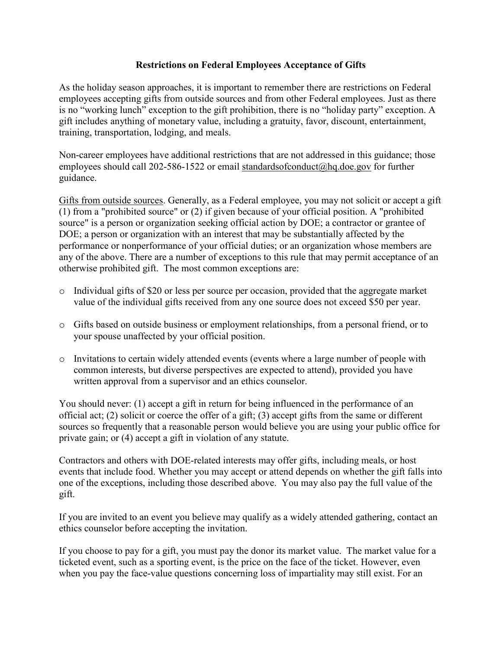### **Restrictions on Federal Employees Acceptance of Gifts**

As the holiday season approaches, it is important to remember there are restrictions on Federal employees accepting gifts from outside sources and from other Federal employees. Just as there is no "working lunch" exception to the gift prohibition, there is no "holiday party" exception. A gift includes anything of monetary value, including a gratuity, favor, discount, entertainment, training, transportation, lodging, and meals.

Non-career employees have additional restrictions that are not addressed in this guidance; those employees should call 202-586-1522 or email [standardsofconduct@hq.doe.gov](mailto:standardsofconduct@hq.doe.gov) for further guidance.

Gifts from outside sources. Generally, as a Federal employee, you may not solicit or accept a gift (1) from a "prohibited source" or (2) if given because of your official position. A "prohibited source" is a person or organization seeking official action by DOE; a contractor or grantee of DOE; a person or organization with an interest that may be substantially affected by the performance or nonperformance of your official duties; or an organization whose members are any of the above. There are a number of exceptions to this rule that may permit acceptance of an otherwise prohibited gift. The most common exceptions are:

- $\circ$  Individual gifts of \$20 or less per source per occasion, provided that the aggregate market value of the individual gifts received from any one source does not exceed \$50 per year.
- o Gifts based on outside business or employment relationships, from a personal friend, or to your spouse unaffected by your official position.
- o Invitations to certain widely attended events (events where a large number of people with common interests, but diverse perspectives are expected to attend), provided you have written approval from a supervisor and an ethics counselor.

You should never: (1) accept a gift in return for being influenced in the performance of an official act; (2) solicit or coerce the offer of a gift; (3) accept gifts from the same or different sources so frequently that a reasonable person would believe you are using your public office for private gain; or (4) accept a gift in violation of any statute.

Contractors and others with DOE-related interests may offer gifts, including meals, or host events that include food. Whether you may accept or attend depends on whether the gift falls into one of the exceptions, including those described above. You may also pay the full value of the gift.

If you are invited to an event you believe may qualify as a widely attended gathering, contact an ethics counselor before accepting the invitation.

If you choose to pay for a gift, you must pay the donor its market value. The market value for a ticketed event, such as a sporting event, is the price on the face of the ticket. However, even when you pay the face-value questions concerning loss of impartiality may still exist. For an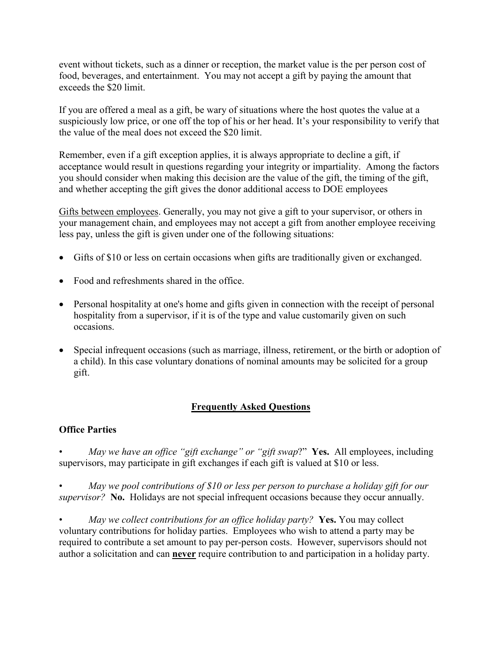event without tickets, such as a dinner or reception, the market value is the per person cost of food, beverages, and entertainment. You may not accept a gift by paying the amount that exceeds the \$20 limit.

If you are offered a meal as a gift, be wary of situations where the host quotes the value at a suspiciously low price, or one off the top of his or her head. It's your responsibility to verify that the value of the meal does not exceed the \$20 limit.

Remember, even if a gift exception applies, it is always appropriate to decline a gift, if acceptance would result in questions regarding your integrity or impartiality. Among the factors you should consider when making this decision are the value of the gift, the timing of the gift, and whether accepting the gift gives the donor additional access to DOE employees

Gifts between employees. Generally, you may not give a gift to your supervisor, or others in your management chain, and employees may not accept a gift from another employee receiving less pay, unless the gift is given under one of the following situations:

- Gifts of \$10 or less on certain occasions when gifts are traditionally given or exchanged.
- Food and refreshments shared in the office.
- Personal hospitality at one's home and gifts given in connection with the receipt of personal hospitality from a supervisor, if it is of the type and value customarily given on such occasions.
- Special infrequent occasions (such as marriage, illness, retirement, or the birth or adoption of a child). In this case voluntary donations of nominal amounts may be solicited for a group gift.

#### **Frequently Asked Questions**

#### **Office Parties**

• *May we have an office "gift exchange" or "gift swap*?" **Yes.** All employees, including supervisors, may participate in gift exchanges if each gift is valued at \$10 or less.

• *May we pool contributions of \$10 or less per person to purchase a holiday gift for our supervisor?* **No.** Holidays are not special infrequent occasions because they occur annually.

• *May we collect contributions for an office holiday party?* **Yes.** You may collect voluntary contributions for holiday parties. Employees who wish to attend a party may be required to contribute a set amount to pay per-person costs. However, supervisors should not author a solicitation and can **never** require contribution to and participation in a holiday party.